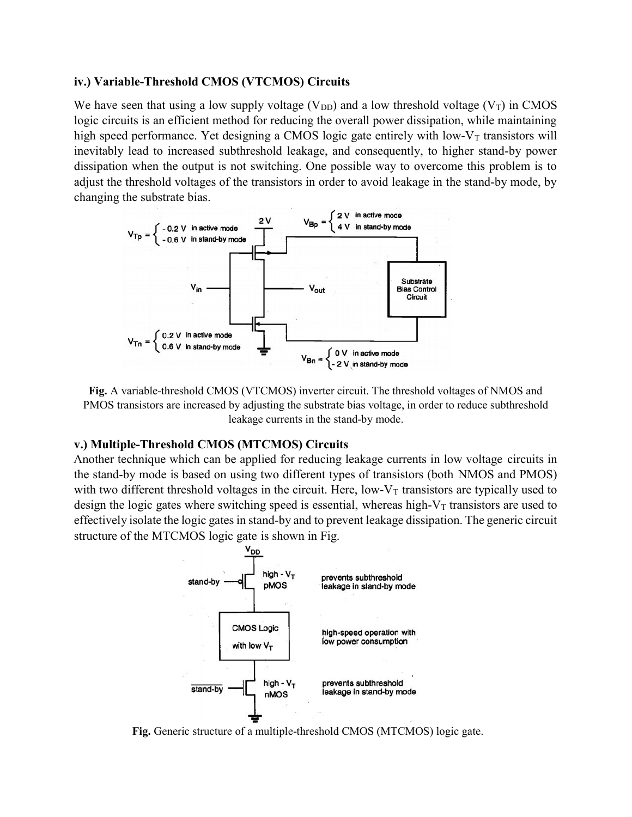#### iv.) Variable-Threshold CMOS (VTCMOS) Circuits

We have seen that using a low supply voltage ( $V_{DD}$ ) and a low threshold voltage ( $V_T$ ) in CMOS logic circuits is an efficient method for reducing the overall power dissipation, while maintaining high speed performance. Yet designing a CMOS logic gate entirely with low- $V<sub>T</sub>$  transistors will inevitably lead to increased subthreshold leakage, and consequently, to higher stand-by power dissipation when the output is not switching. One possible way to overcome this problem is to adjust the threshold voltages of the transistors in order to avoid leakage in the stand-by mode, by changing the substrate bias.



Fig. A variable-threshold CMOS (VTCMOS) inverter circuit. The threshold voltages of NMOS and PMOS transistors are increased by adjusting the substrate bias voltage, in order to reduce subthreshold leakage currents in the stand-by mode.

### v.) Multiple-Threshold CMOS (MTCMOS) Circuits

Another technique which can be applied for reducing leakage currents in low voltage circuits in the stand-by mode is based on using two different types of transistors (both NMOS and PMOS) with two different threshold voltages in the circuit. Here, low- $V<sub>T</sub>$  transistors are typically used to design the logic gates where switching speed is essential, whereas high- $V_T$  transistors are used to effectively isolate the logic gates in stand-by and to prevent leakage dissipation. The generic circuit structure of the MTCMOS logic gate is shown in Fig.



Fig. Generic structure of a multiple-threshold CMOS (MTCMOS) logic gate.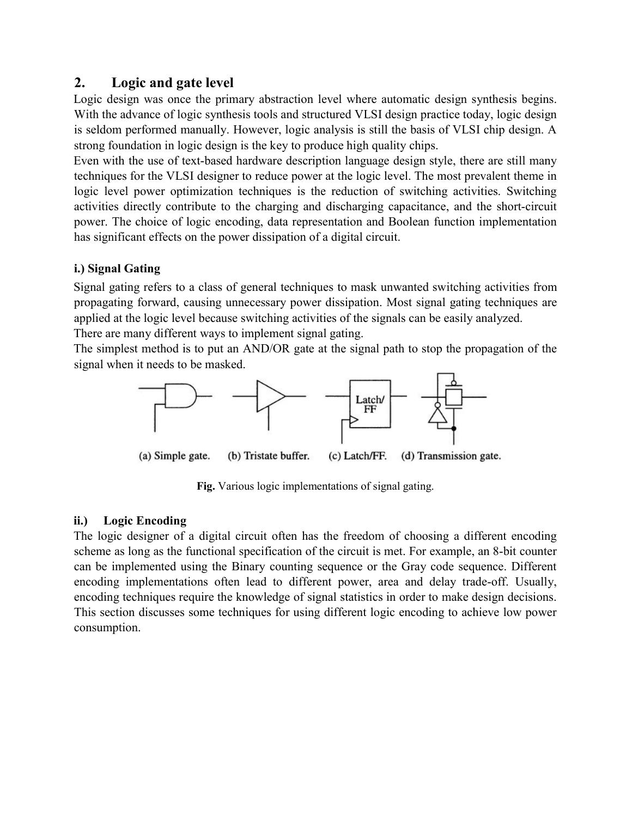# 2. Logic and gate level

Logic design was once the primary abstraction level where automatic design synthesis begins. With the advance of logic synthesis tools and structured VLSI design practice today, logic design is seldom performed manually. However, logic analysis is still the basis of VLSI chip design. A strong foundation in logic design is the key to produce high quality chips.

Even with the use of text-based hardware description language design style, there are still many techniques for the VLSI designer to reduce power at the logic level. The most prevalent theme in logic level power optimization techniques is the reduction of switching activities. Switching activities directly contribute to the charging and discharging capacitance, and the short-circuit power. The choice of logic encoding, data representation and Boolean function implementation has significant effects on the power dissipation of a digital circuit.

## i.) Signal Gating

Signal gating refers to a class of general techniques to mask unwanted switching activities from propagating forward, causing unnecessary power dissipation. Most signal gating techniques are applied at the logic level because switching activities of the signals can be easily analyzed.

There are many different ways to implement signal gating.

The simplest method is to put an AND/OR gate at the signal path to stop the propagation of the signal when it needs to be masked.



(a) Simple gate. (b) Tristate buffer. (c) Latch/FF. (d) Transmission gate.

Fig. Various logic implementations of signal gating.

### ii.) Logic Encoding

The logic designer of a digital circuit often has the freedom of choosing a different encoding scheme as long as the functional specification of the circuit is met. For example, an 8-bit counter can be implemented using the Binary counting sequence or the Gray code sequence. Different encoding implementations often lead to different power, area and delay trade-off. Usually, encoding techniques require the knowledge of signal statistics in order to make design decisions. This section discusses some techniques for using different logic encoding to achieve low power consumption.